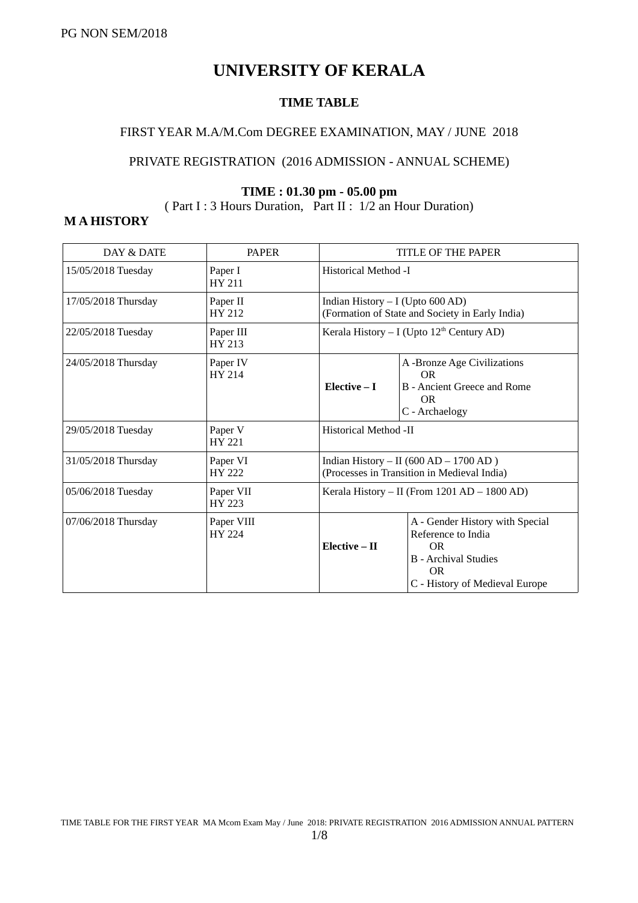# **UNIVERSITY OF KERALA**

#### **TIME TABLE**

#### FIRST YEAR M.A/M.Com DEGREE EXAMINATION, MAY / JUNE 2018

#### PRIVATE REGISTRATION (2016 ADMISSION - ANNUAL SCHEME)

#### **TIME : 01.30 pm - 05.00 pm**

( Part I : 3 Hours Duration, Part II : 1/2 an Hour Duration)

#### **M A HISTORY**

| DAY & DATE          | <b>PAPER</b>                |                                    | TITLE OF THE PAPER                                                                                                                               |
|---------------------|-----------------------------|------------------------------------|--------------------------------------------------------------------------------------------------------------------------------------------------|
| 15/05/2018 Tuesday  | Paper I<br>HY 211           | Historical Method -I               |                                                                                                                                                  |
| 17/05/2018 Thursday | Paper II<br>HY 212          | Indian History $- I$ (Upto 600 AD) | (Formation of State and Society in Early India)                                                                                                  |
| 22/05/2018 Tuesday  | Paper III<br><b>HY 213</b>  |                                    | Kerala History – I (Upto $12th$ Century AD)                                                                                                      |
| 24/05/2018 Thursday | Paper IV<br><b>HY 214</b>   | Elective $-I$                      | A -Bronze Age Civilizations<br><b>OR</b><br>B - Ancient Greece and Rome<br><b>OR</b><br>C - Archaelogy                                           |
| 29/05/2018 Tuesday  | Paper V<br>HY 221           | Historical Method -II              |                                                                                                                                                  |
| 31/05/2018 Thursday | Paper VI<br><b>HY 222</b>   |                                    | Indian History - II (600 AD - 1700 AD)<br>(Processes in Transition in Medieval India)                                                            |
| 05/06/2018 Tuesday  | Paper VII<br><b>HY 223</b>  |                                    | Kerala History - II (From 1201 AD - 1800 AD)                                                                                                     |
| 07/06/2018 Thursday | Paper VIII<br><b>HY 224</b> | Elective - II                      | A - Gender History with Special<br>Reference to India<br><b>OR</b><br><b>B</b> - Archival Studies<br><b>OR</b><br>C - History of Medieval Europe |

TIME TABLE FOR THE FIRST YEAR MA Mcom Exam May / June 2018: PRIVATE REGISTRATION 2016 ADMISSION ANNUAL PATTERN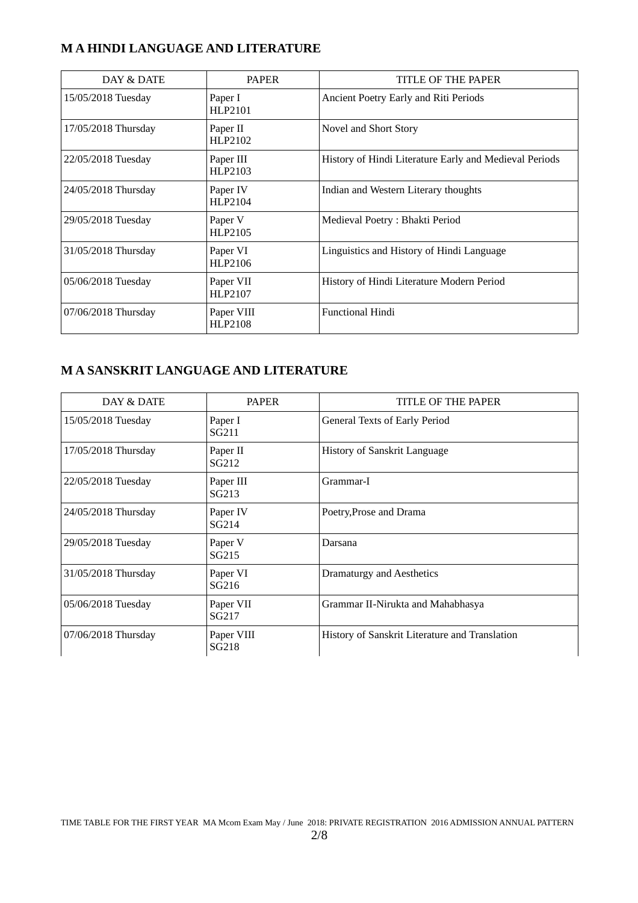#### **M A HINDI LANGUAGE AND LITERATURE**

| DAY & DATE          | PAPER                 | TITLE OF THE PAPER                                     |
|---------------------|-----------------------|--------------------------------------------------------|
| 15/05/2018 Tuesday  | Paper I<br>HLP2101    | Ancient Poetry Early and Riti Periods                  |
| 17/05/2018 Thursday | Paper II<br>HLP2102   | Novel and Short Story                                  |
| 22/05/2018 Tuesday  | Paper III<br>HLP2103  | History of Hindi Literature Early and Medieval Periods |
| 24/05/2018 Thursday | Paper IV<br>HLP2104   | Indian and Western Literary thoughts                   |
| 29/05/2018 Tuesday  | Paper V<br>HLP2105    | Medieval Poetry: Bhakti Period                         |
| 31/05/2018 Thursday | Paper VI<br>HLP2106   | Linguistics and History of Hindi Language              |
| 05/06/2018 Tuesday  | Paper VII<br>HLP2107  | History of Hindi Literature Modern Period              |
| 07/06/2018 Thursday | Paper VIII<br>HLP2108 | <b>Functional Hindi</b>                                |

# **M A SANSKRIT LANGUAGE AND LITERATURE**

| DAY & DATE          | <b>PAPER</b>                   | TITLE OF THE PAPER                             |
|---------------------|--------------------------------|------------------------------------------------|
| 15/05/2018 Tuesday  | Paper I<br>SG <sub>211</sub>   | General Texts of Early Period                  |
| 17/05/2018 Thursday | Paper II<br>SG <sub>212</sub>  | History of Sanskrit Language                   |
| 22/05/2018 Tuesday  | Paper III<br>SG <sub>213</sub> | Grammar-I                                      |
| 24/05/2018 Thursday | Paper IV<br>SG <sub>214</sub>  | Poetry, Prose and Drama                        |
| 29/05/2018 Tuesday  | Paper V<br>SG <sub>215</sub>   | Darsana                                        |
| 31/05/2018 Thursday | Paper VI<br>SG <sub>216</sub>  | Dramaturgy and Aesthetics                      |
| 05/06/2018 Tuesday  | Paper VII<br>SG217             | Grammar II-Nirukta and Mahabhasya              |
| 07/06/2018 Thursday | Paper VIII<br>SG218            | History of Sanskrit Literature and Translation |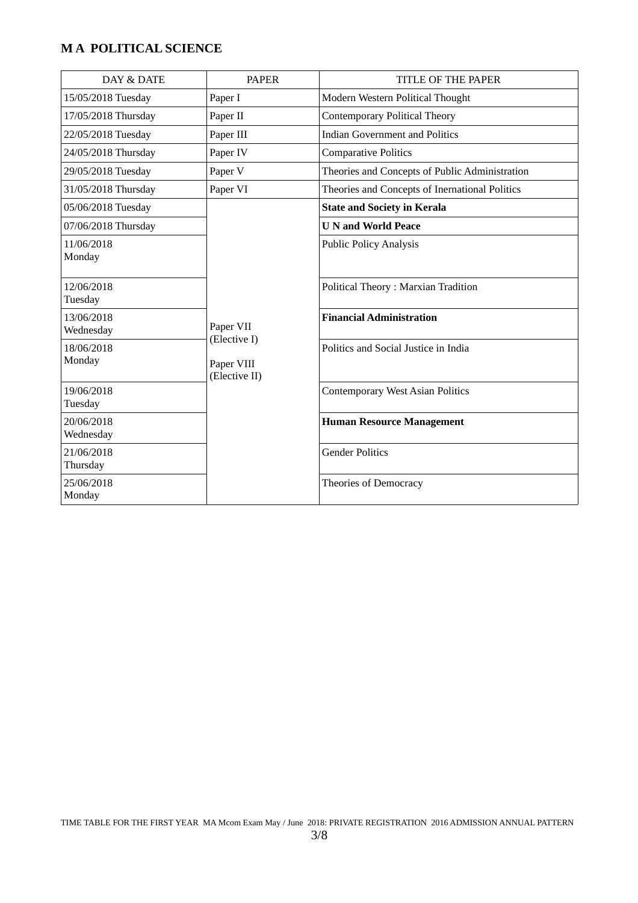# **M A POLITICAL SCIENCE**

| DAY & DATE              | <b>PAPER</b>                                             | TITLE OF THE PAPER                             |
|-------------------------|----------------------------------------------------------|------------------------------------------------|
| 15/05/2018 Tuesday      | Paper I                                                  | Modern Western Political Thought               |
| 17/05/2018 Thursday     | Paper II                                                 | <b>Contemporary Political Theory</b>           |
| 22/05/2018 Tuesday      | Paper III                                                | <b>Indian Government and Politics</b>          |
| 24/05/2018 Thursday     | Paper IV                                                 | <b>Comparative Politics</b>                    |
| 29/05/2018 Tuesday      | Paper V                                                  | Theories and Concepts of Public Administration |
| 31/05/2018 Thursday     | Paper VI                                                 | Theories and Concepts of Inernational Politics |
| 05/06/2018 Tuesday      |                                                          | <b>State and Society in Kerala</b>             |
| 07/06/2018 Thursday     |                                                          | <b>U N and World Peace</b>                     |
| 11/06/2018<br>Monday    |                                                          | <b>Public Policy Analysis</b>                  |
| 12/06/2018<br>Tuesday   | Paper VII<br>(Elective I)<br>Paper VIII<br>(Elective II) | <b>Political Theory: Marxian Tradition</b>     |
| 13/06/2018<br>Wednesday |                                                          | <b>Financial Administration</b>                |
| 18/06/2018<br>Monday    |                                                          | Politics and Social Justice in India           |
| 19/06/2018<br>Tuesday   |                                                          | <b>Contemporary West Asian Politics</b>        |
| 20/06/2018<br>Wednesday |                                                          | <b>Human Resource Management</b>               |
| 21/06/2018<br>Thursday  |                                                          | <b>Gender Politics</b>                         |
| 25/06/2018<br>Monday    |                                                          | Theories of Democracy                          |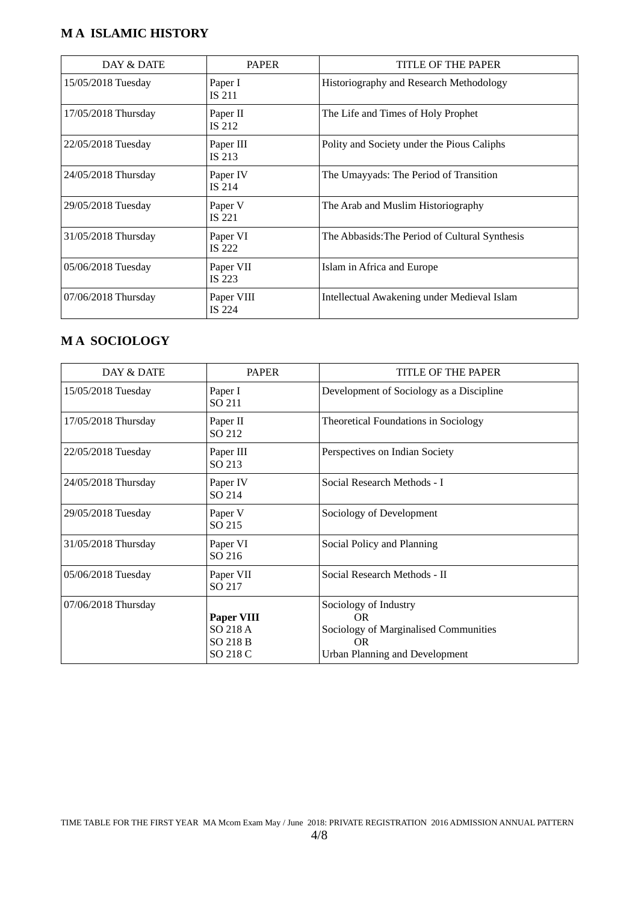#### **M A ISLAMIC HISTORY**

| DAY & DATE          | <b>PAPER</b>               | TITLE OF THE PAPER                             |
|---------------------|----------------------------|------------------------------------------------|
| 15/05/2018 Tuesday  | Paper I<br>IS 211          | Historiography and Research Methodology        |
| 17/05/2018 Thursday | Paper II<br><b>IS 212</b>  | The Life and Times of Holy Prophet             |
| 22/05/2018 Tuesday  | Paper III<br><b>IS 213</b> | Polity and Society under the Pious Caliphs     |
| 24/05/2018 Thursday | Paper IV<br>IS 214         | The Umayyads: The Period of Transition         |
| 29/05/2018 Tuesday  | Paper V<br><b>IS 221</b>   | The Arab and Muslim Historiography             |
| 31/05/2018 Thursday | Paper VI<br><b>IS 222</b>  | The Abbasids: The Period of Cultural Synthesis |
| 05/06/2018 Tuesday  | Paper VII<br>IS 223        | Islam in Africa and Europe                     |
| 07/06/2018 Thursday | Paper VIII<br>IS 224       | Intellectual Awakening under Medieval Islam    |

#### **M A SOCIOLOGY**

| DAY & DATE          | <b>PAPER</b>                                          | TITLE OF THE PAPER                                                                                                   |
|---------------------|-------------------------------------------------------|----------------------------------------------------------------------------------------------------------------------|
| 15/05/2018 Tuesday  | Paper I<br>SO 211                                     | Development of Sociology as a Discipline                                                                             |
| 17/05/2018 Thursday | Paper II<br>SO 212                                    | <b>Theoretical Foundations in Sociology</b>                                                                          |
| 22/05/2018 Tuesday  | Paper III<br>SO 213                                   | Perspectives on Indian Society                                                                                       |
| 24/05/2018 Thursday | Paper IV<br>SO 214                                    | Social Research Methods - I                                                                                          |
| 29/05/2018 Tuesday  | Paper V<br>SO 215                                     | Sociology of Development                                                                                             |
| 31/05/2018 Thursday | Paper VI<br>SO 216                                    | Social Policy and Planning                                                                                           |
| 05/06/2018 Tuesday  | Paper VII<br>SO 217                                   | Social Research Methods - II                                                                                         |
| 07/06/2018 Thursday | Paper VIII<br>SO 218 A<br><b>SO 218 B</b><br>SO 218 C | Sociology of Industry<br>OR.<br>Sociology of Marginalised Communities<br><b>OR</b><br>Urban Planning and Development |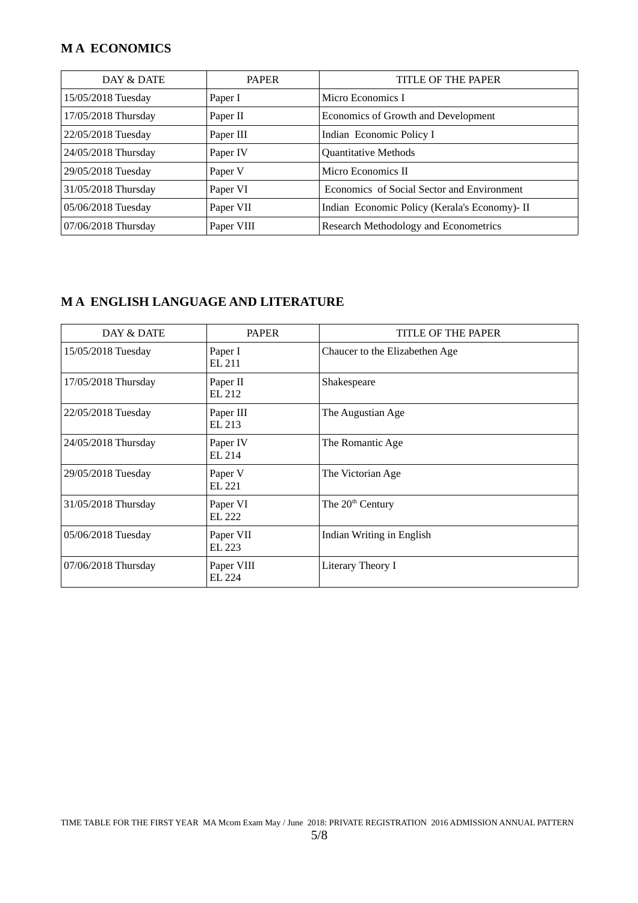#### **M A ECONOMICS**

| DAY & DATE          | <b>PAPER</b> | TITLE OF THE PAPER                            |
|---------------------|--------------|-----------------------------------------------|
| 15/05/2018 Tuesday  | Paper I      | Micro Economics I                             |
| 17/05/2018 Thursday | Paper II     | Economics of Growth and Development           |
| 22/05/2018 Tuesday  | Paper III    | Indian Economic Policy I                      |
| 24/05/2018 Thursday | Paper IV     | <b>Quantitative Methods</b>                   |
| 29/05/2018 Tuesday  | Paper V      | Micro Economics II                            |
| 31/05/2018 Thursday | Paper VI     | Economics of Social Sector and Environment    |
| 05/06/2018 Tuesday  | Paper VII    | Indian Economic Policy (Kerala's Economy)- II |
| 07/06/2018 Thursday | Paper VIII   | Research Methodology and Econometrics         |

# **M A ENGLISH LANGUAGE AND LITERATURE**

| DAY & DATE          | <b>PAPER</b>         | TITLE OF THE PAPER             |
|---------------------|----------------------|--------------------------------|
| 15/05/2018 Tuesday  | Paper I<br>EL 211    | Chaucer to the Elizabethen Age |
| 17/05/2018 Thursday | Paper II<br>EL 212   | Shakespeare                    |
| 22/05/2018 Tuesday  | Paper III<br>EL 213  | The Augustian Age              |
| 24/05/2018 Thursday | Paper IV<br>EL 214   | The Romantic Age               |
| 29/05/2018 Tuesday  | Paper V<br>EL 221    | The Victorian Age              |
| 31/05/2018 Thursday | Paper VI<br>EL 222   | The 20 <sup>th</sup> Century   |
| 05/06/2018 Tuesday  | Paper VII<br>EL 223  | Indian Writing in English      |
| 07/06/2018 Thursday | Paper VIII<br>EL 224 | Literary Theory I              |

TIME TABLE FOR THE FIRST YEAR MA Mcom Exam May / June 2018: PRIVATE REGISTRATION 2016 ADMISSION ANNUAL PATTERN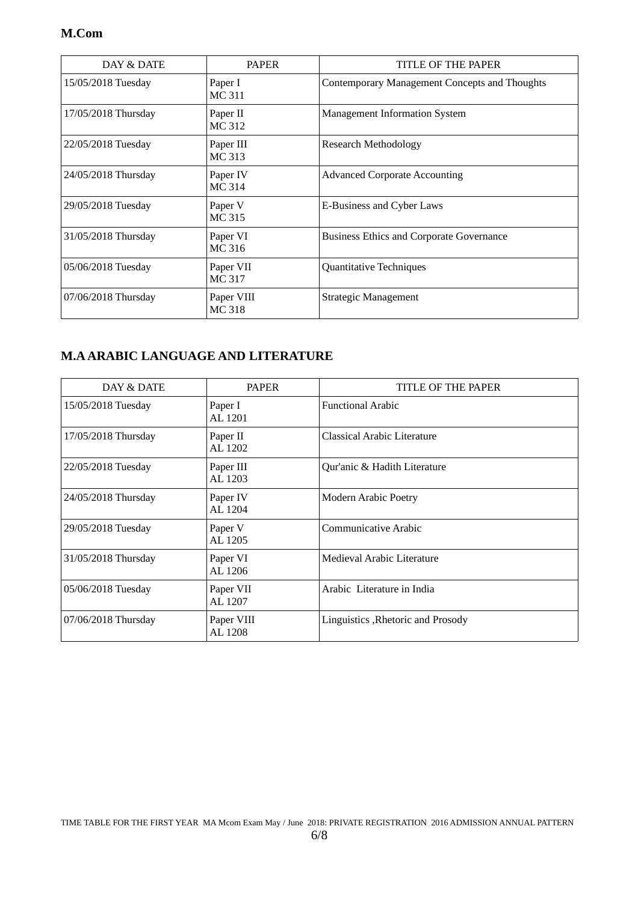#### **M.Com**

| DAY & DATE          | <b>PAPER</b>                | TITLE OF THE PAPER                              |
|---------------------|-----------------------------|-------------------------------------------------|
| 15/05/2018 Tuesday  | Paper I<br>MC 311           | Contemporary Management Concepts and Thoughts   |
| 17/05/2018 Thursday | Paper II<br>MC 312          | Management Information System                   |
| 22/05/2018 Tuesday  | Paper III<br>MC 313         | Research Methodology                            |
| 24/05/2018 Thursday | Paper IV<br><b>MC314</b>    | <b>Advanced Corporate Accounting</b>            |
| 29/05/2018 Tuesday  | Paper V<br>MC 315           | E-Business and Cyber Laws                       |
| 31/05/2018 Thursday | Paper VI<br>MC 316          | <b>Business Ethics and Corporate Governance</b> |
| 05/06/2018 Tuesday  | Paper VII<br><b>MC317</b>   | Quantitative Techniques                         |
| 07/06/2018 Thursday | Paper VIII<br><b>MC 318</b> | Strategic Management                            |

#### **M.A ARABIC LANGUAGE AND LITERATURE**

| DAY & DATE          | <b>PAPER</b>          | TITLE OF THE PAPER                 |
|---------------------|-----------------------|------------------------------------|
| 15/05/2018 Tuesday  | Paper I<br>AL 1201    | <b>Functional Arabic</b>           |
| 17/05/2018 Thursday | Paper II<br>AL 1202   | Classical Arabic Literature        |
| 22/05/2018 Tuesday  | Paper III<br>AL 1203  | Qur'anic & Hadith Literature       |
| 24/05/2018 Thursday | Paper IV<br>AL 1204   | Modern Arabic Poetry               |
| 29/05/2018 Tuesday  | Paper V<br>AL 1205    | Communicative Arabic               |
| 31/05/2018 Thursday | Paper VI<br>AL 1206   | Medieval Arabic Literature         |
| 05/06/2018 Tuesday  | Paper VII<br>AL 1207  | Arabic Literature in India         |
| 07/06/2018 Thursday | Paper VIII<br>AL 1208 | Linguistics , Rhetoric and Prosody |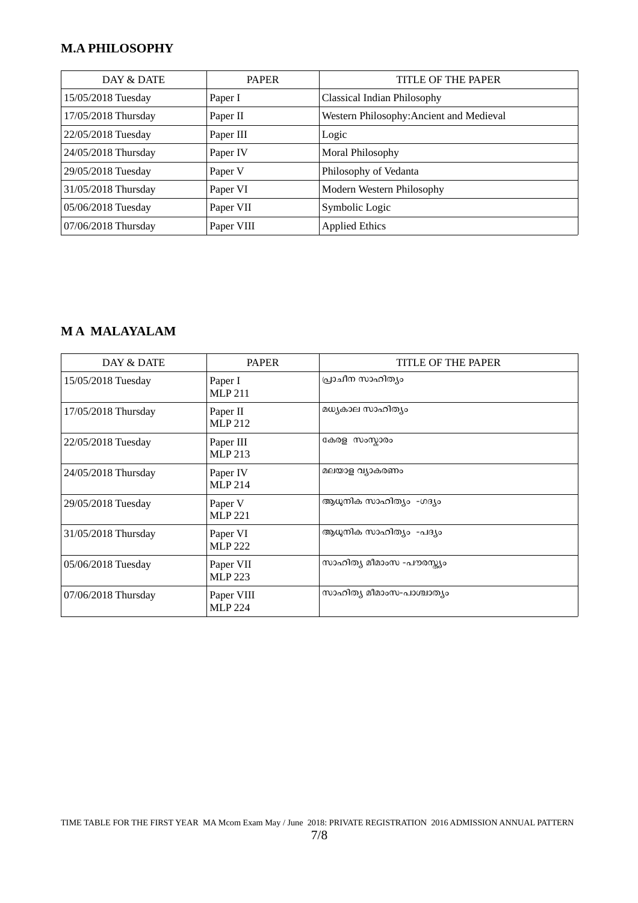# **M.A PHILOSOPHY**

| DAY & DATE          | <b>PAPER</b> | TITLE OF THE PAPER                       |
|---------------------|--------------|------------------------------------------|
| 15/05/2018 Tuesday  | Paper I      | Classical Indian Philosophy              |
| 17/05/2018 Thursday | Paper II     | Western Philosophy: Ancient and Medieval |
| 22/05/2018 Tuesday  | Paper III    | Logic                                    |
| 24/05/2018 Thursday | Paper IV     | Moral Philosophy                         |
| 29/05/2018 Tuesday  | Paper V      | Philosophy of Vedanta                    |
| 31/05/2018 Thursday | Paper VI     | Modern Western Philosophy                |
| 05/06/2018 Tuesday  | Paper VII    | Symbolic Logic                           |
| 07/06/2018 Thursday | Paper VIII   | <b>Applied Ethics</b>                    |

### **M A MALAYALAM**

| DAY & DATE          | <b>PAPER</b>                 | TITLE OF THE PAPER        |
|---------------------|------------------------------|---------------------------|
| 15/05/2018 Tuesday  | Paper I<br><b>MLP 211</b>    | പ്രാചീന സാഹിത്യം          |
| 17/05/2018 Thursday | Paper II<br><b>MLP 212</b>   | മധ്യകാല സാഹിത്യം          |
| 22/05/2018 Tuesday  | Paper III<br><b>MLP 213</b>  | കേരള സംസ്കാരം             |
| 24/05/2018 Thursday | Paper IV<br><b>MLP 214</b>   | മലയാള വ്യാകരണം            |
| 29/05/2018 Tuesday  | Paper V<br><b>MLP 221</b>    | ആധുനിക സാഹിത്യം -ഗദ്യം    |
| 31/05/2018 Thursday | Paper VI<br><b>MLP 222</b>   | ആധുനിക സാഹിത്യം -പദ്യം    |
| 05/06/2018 Tuesday  | Paper VII<br><b>MLP 223</b>  | സാഹിത്യ മീമാംസ -പൗരസ്ക്യം |
| 07/06/2018 Thursday | Paper VIII<br><b>MLP 224</b> | സാഹിത്യ മീമാംസ-പാശ്ചാത്യം |

TIME TABLE FOR THE FIRST YEAR MA Mcom Exam May / June 2018: PRIVATE REGISTRATION 2016 ADMISSION ANNUAL PATTERN